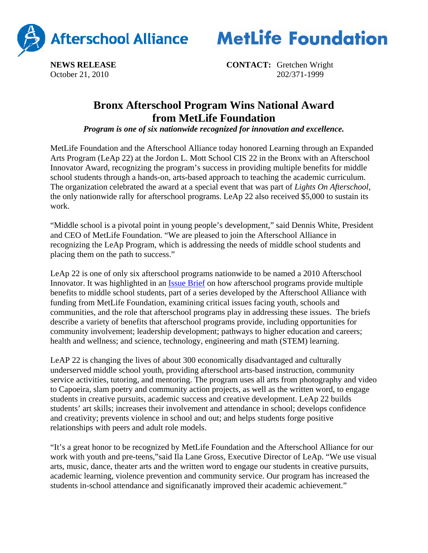

**MetLife Foundation** 

**NEWS RELEASE CONTACT:** Gretchen Wright October 21, 2010202/371-1999

## **Bronx Afterschool Program Wins National Award from MetLife Foundation**

*Program is one of six nationwide recognized for innovation and excellence.*

MetLife Foundation and the Afterschool Alliance today honored Learning through an Expanded Arts Program (LeAp 22) at the Jordon L. Mott School CIS 22 in the Bronx with an Afterschool Innovator Award, recognizing the program's success in providing multiple benefits for middle school students through a hands-on, arts-based approach to teaching the academic curriculum. The organization celebrated the award at a special event that was part of *Lights On Afterschool*, the only nationwide rally for afterschool programs. LeAp 22 also received \$5,000 to sustain its work.

"Middle school is a pivotal point in young people's development," said Dennis White, President and CEO of MetLife Foundation. "We are pleased to join the Afterschool Alliance in recognizing the LeAp Program, which is addressing the needs of middle school students and placing them on the path to success."

LeAp 22 is one of only six afterschool programs nationwide to be named a 2010 Afterschool Innovator. It was highlighted in an Issue Brief on how afterschool programs provide multiple benefits to middle school students, part of a series developed by the Afterschool Alliance with funding from MetLife Foundation, examining critical issues facing youth, schools and communities, and the role that afterschool programs play in addressing these issues. The briefs describe a variety of benefits that afterschool programs provide, including opportunities for community involvement; leadership development; pathways to higher education and careers; health and wellness; and science, technology, engineering and math (STEM) learning.

LeAP 22 is changing the lives of about 300 economically disadvantaged and culturally underserved middle school youth, providing afterschool arts-based instruction, community service activities, tutoring, and mentoring. The program uses all arts from photography and video to Capoeira, slam poetry and community action projects, as well as the written word, to engage students in creative pursuits, academic success and creative development. LeAp 22 builds students' art skills; increases their involvement and attendance in school; develops confidence and creativity; prevents violence in school and out; and helps students forge positive relationships with peers and adult role models.

"It's a great honor to be recognized by MetLife Foundation and the Afterschool Alliance for our work with youth and pre-teens,"said Ila Lane Gross, Executive Director of LeAp. "We use visual arts, music, dance, theater arts and the written word to engage our students in creative pursuits, academic learning, violence prevention and community service. Our program has increased the students in-school attendance and significanatly improved their academic achievement."